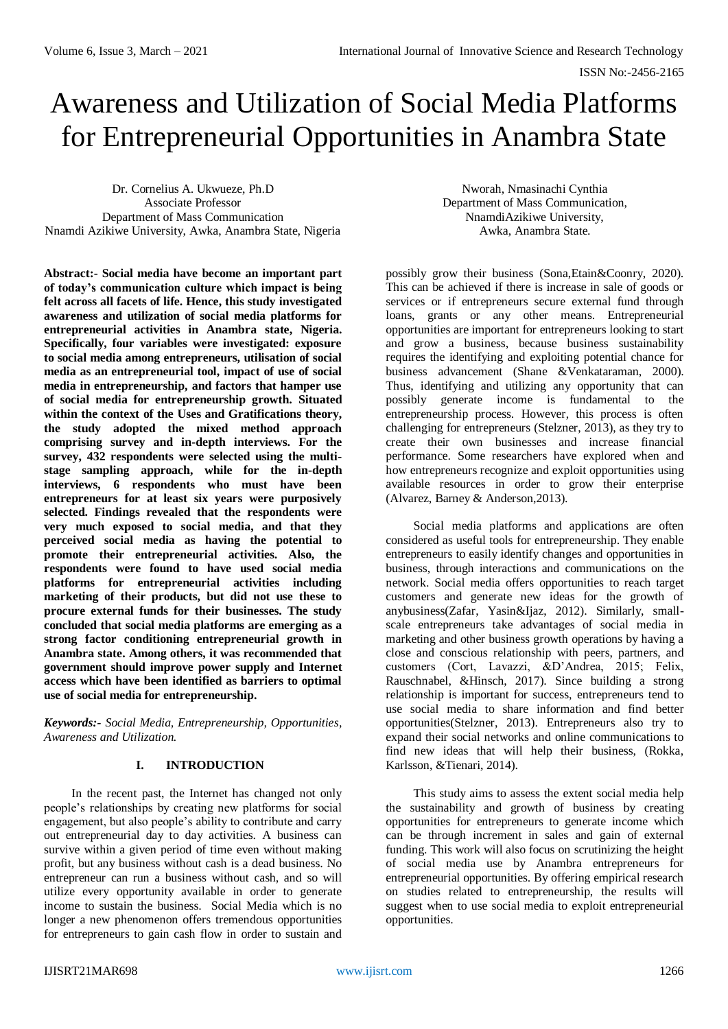# Awareness and Utilization of Social Media Platforms for Entrepreneurial Opportunities in Anambra State

Dr. Cornelius A. Ukwueze, Ph.D Associate Professor Department of Mass Communication Nnamdi Azikiwe University, Awka, Anambra State, Nigeria

Nworah, Nmasinachi Cynthia Department of Mass Communication, NnamdiAzikiwe University, Awka, Anambra State.

**Abstract:- Social media have become an important part of today's communication culture which impact is being felt across all facets of life. Hence, this study investigated awareness and utilization of social media platforms for entrepreneurial activities in Anambra state, Nigeria. Specifically, four variables were investigated: exposure to social media among entrepreneurs, utilisation of social media as an entrepreneurial tool, impact of use of social media in entrepreneurship, and factors that hamper use of social media for entrepreneurship growth. Situated within the context of the Uses and Gratifications theory, the study adopted the mixed method approach comprising survey and in-depth interviews. For the survey, 432 respondents were selected using the multistage sampling approach, while for the in-depth interviews, 6 respondents who must have been entrepreneurs for at least six years were purposively selected. Findings revealed that the respondents were very much exposed to social media, and that they perceived social media as having the potential to promote their entrepreneurial activities. Also, the respondents were found to have used social media platforms for entrepreneurial activities including marketing of their products, but did not use these to procure external funds for their businesses. The study concluded that social media platforms are emerging as a strong factor conditioning entrepreneurial growth in Anambra state. Among others, it was recommended that government should improve power supply and Internet access which have been identified as barriers to optimal use of social media for entrepreneurship.**

*Keywords:- Social Media, Entrepreneurship, Opportunities, Awareness and Utilization.*

## **I. INTRODUCTION**

In the recent past, the Internet has changed not only people's relationships by creating new platforms for social engagement, but also people's ability to contribute and carry out entrepreneurial day to day activities. A business can survive within a given period of time even without making profit, but any business without cash is a dead business. No entrepreneur can run a business without cash, and so will utilize every opportunity available in order to generate income to sustain the business. Social Media which is no longer a new phenomenon offers tremendous opportunities for entrepreneurs to gain cash flow in order to sustain and

possibly grow their business (Sona,Etain&Coonry, 2020). This can be achieved if there is increase in sale of goods or services or if entrepreneurs secure external fund through loans, grants or any other means. Entrepreneurial opportunities are important for entrepreneurs looking to start and grow a business, because business sustainability requires the identifying and exploiting potential chance for business advancement (Shane &Venkataraman, 2000). Thus, identifying and utilizing any opportunity that can possibly generate income is fundamental to the entrepreneurship process. However, this process is often challenging for entrepreneurs (Stelzner, 2013), as they try to create their own businesses and increase financial performance. Some researchers have explored when and how entrepreneurs recognize and exploit opportunities using available resources in order to grow their enterprise (Alvarez, Barney & Anderson,2013).

Social media platforms and applications are often considered as useful tools for entrepreneurship. They enable entrepreneurs to easily identify changes and opportunities in business, through interactions and communications on the network. Social media offers opportunities to reach target customers and generate new ideas for the growth of anybusiness(Zafar, Yasin&Ijaz, 2012). Similarly, smallscale entrepreneurs take advantages of social media in marketing and other business growth operations by having a close and conscious relationship with peers, partners, and customers (Cort, Lavazzi, &D'Andrea, 2015; Felix, Rauschnabel, &Hinsch, 2017). Since building a strong relationship is important for success, entrepreneurs tend to use social media to share information and find better opportunities(Stelzner, 2013). Entrepreneurs also try to expand their social networks and online communications to find new ideas that will help their business, (Rokka, Karlsson, &Tienari, 2014).

This study aims to assess the extent social media help the sustainability and growth of business by creating opportunities for entrepreneurs to generate income which can be through increment in sales and gain of external funding. This work will also focus on scrutinizing the height of social media use by Anambra entrepreneurs for entrepreneurial opportunities. By offering empirical research on studies related to entrepreneurship, the results will suggest when to use social media to exploit entrepreneurial opportunities.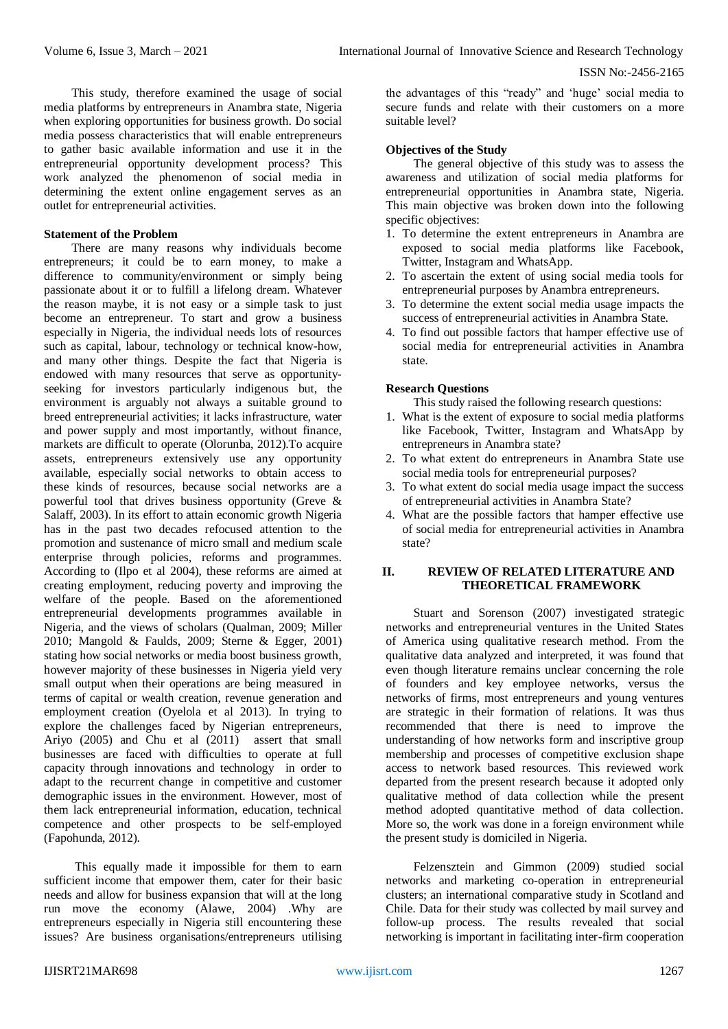This study, therefore examined the usage of social media platforms by entrepreneurs in Anambra state, Nigeria when exploring opportunities for business growth. Do social media possess characteristics that will enable entrepreneurs to gather basic available information and use it in the entrepreneurial opportunity development process? This work analyzed the phenomenon of social media in determining the extent online engagement serves as an outlet for entrepreneurial activities.

#### **Statement of the Problem**

There are many reasons why individuals become entrepreneurs; it could be to earn money, to make a difference to community/environment or simply being passionate about it or to fulfill a lifelong dream. Whatever the reason maybe, it is not easy or a simple task to just become an entrepreneur. To start and grow a business especially in Nigeria, the individual needs lots of resources such as capital, labour, technology or technical know-how, and many other things. Despite the fact that Nigeria is endowed with many resources that serve as opportunityseeking for investors particularly indigenous but, the environment is arguably not always a suitable ground to breed entrepreneurial activities; it lacks infrastructure, water and power supply and most importantly, without finance, markets are difficult to operate (Olorunba, 2012).To acquire assets, entrepreneurs extensively use any opportunity available, especially social networks to obtain access to these kinds of resources, because social networks are a powerful tool that drives business opportunity (Greve & Salaff, 2003). In its effort to attain economic growth Nigeria has in the past two decades refocused attention to the promotion and sustenance of micro small and medium scale enterprise through policies, reforms and programmes. According to (Ilpo et al 2004), these reforms are aimed at creating employment, reducing poverty and improving the welfare of the people. Based on the aforementioned entrepreneurial developments programmes available in Nigeria, and the views of scholars (Qualman, 2009; Miller 2010; Mangold & Faulds, 2009; Sterne & Egger, 2001) stating how social networks or media boost business growth, however majority of these businesses in Nigeria yield very small output when their operations are being measured in terms of capital or wealth creation, revenue generation and employment creation (Oyelola et al 2013). In trying to explore the challenges faced by Nigerian entrepreneurs, Ariyo (2005) and Chu et al (2011) assert that small businesses are faced with difficulties to operate at full capacity through innovations and technology in order to adapt to the recurrent change in competitive and customer demographic issues in the environment. However, most of them lack entrepreneurial information, education, technical competence and other prospects to be self-employed (Fapohunda, 2012).

This equally made it impossible for them to earn sufficient income that empower them, cater for their basic needs and allow for business expansion that will at the long run move the economy (Alawe, 2004) .Why are entrepreneurs especially in Nigeria still encountering these issues? Are business organisations/entrepreneurs utilising

the advantages of this "ready" and 'huge' social media to secure funds and relate with their customers on a more suitable level?

## **Objectives of the Study**

The general objective of this study was to assess the awareness and utilization of social media platforms for entrepreneurial opportunities in Anambra state, Nigeria. This main objective was broken down into the following specific objectives:

- 1. To determine the extent entrepreneurs in Anambra are exposed to social media platforms like Facebook, Twitter, Instagram and WhatsApp.
- 2. To ascertain the extent of using social media tools for entrepreneurial purposes by Anambra entrepreneurs.
- 3. To determine the extent social media usage impacts the success of entrepreneurial activities in Anambra State.
- 4. To find out possible factors that hamper effective use of social media for entrepreneurial activities in Anambra state.

### **Research Questions**

This study raised the following research questions:

- 1. What is the extent of exposure to social media platforms like Facebook, Twitter, Instagram and WhatsApp by entrepreneurs in Anambra state?
- 2. To what extent do entrepreneurs in Anambra State use social media tools for entrepreneurial purposes?
- 3. To what extent do social media usage impact the success of entrepreneurial activities in Anambra State?
- 4. What are the possible factors that hamper effective use of social media for entrepreneurial activities in Anambra state?

## **II. REVIEW OF RELATED LITERATURE AND THEORETICAL FRAMEWORK**

Stuart and Sorenson (2007) investigated strategic networks and entrepreneurial ventures in the United States of America using qualitative research method. From the qualitative data analyzed and interpreted, it was found that even though literature remains unclear concerning the role of founders and key employee networks, versus the networks of firms, most entrepreneurs and young ventures are strategic in their formation of relations. It was thus recommended that there is need to improve the understanding of how networks form and inscriptive group membership and processes of competitive exclusion shape access to network based resources. This reviewed work departed from the present research because it adopted only qualitative method of data collection while the present method adopted quantitative method of data collection. More so, the work was done in a foreign environment while the present study is domiciled in Nigeria.

Felzensztein and Gimmon (2009) studied social networks and marketing co-operation in entrepreneurial clusters; an international comparative study in Scotland and Chile. Data for their study was collected by mail survey and follow-up process. The results revealed that social networking is important in facilitating inter-firm cooperation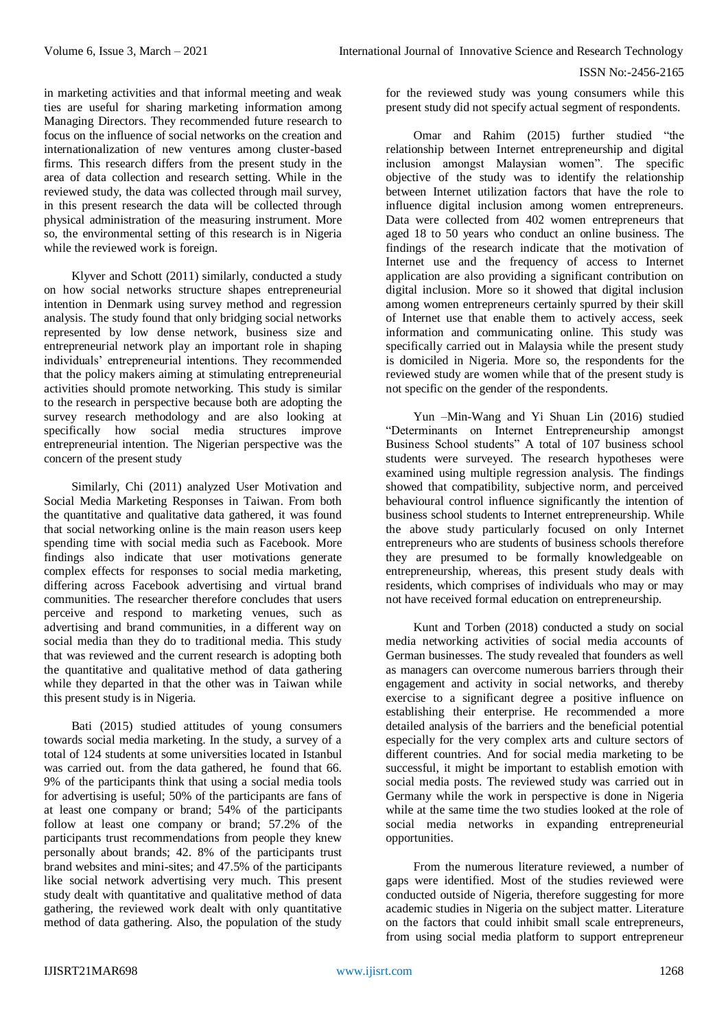in marketing activities and that informal meeting and weak ties are useful for sharing marketing information among Managing Directors. They recommended future research to focus on the influence of social networks on the creation and internationalization of new ventures among cluster-based firms. This research differs from the present study in the area of data collection and research setting. While in the reviewed study, the data was collected through mail survey, in this present research the data will be collected through physical administration of the measuring instrument. More so, the environmental setting of this research is in Nigeria while the reviewed work is foreign.

Klyver and Schott (2011) similarly, conducted a study on how social networks structure shapes entrepreneurial intention in Denmark using survey method and regression analysis. The study found that only bridging social networks represented by low dense network, business size and entrepreneurial network play an important role in shaping individuals' entrepreneurial intentions. They recommended that the policy makers aiming at stimulating entrepreneurial activities should promote networking. This study is similar to the research in perspective because both are adopting the survey research methodology and are also looking at specifically how social media structures improve entrepreneurial intention. The Nigerian perspective was the concern of the present study

Similarly, Chi (2011) analyzed User Motivation and Social Media Marketing Responses in Taiwan. From both the quantitative and qualitative data gathered, it was found that social networking online is the main reason users keep spending time with social media such as Facebook. More findings also indicate that user motivations generate complex effects for responses to social media marketing, differing across Facebook advertising and virtual brand communities. The researcher therefore concludes that users perceive and respond to marketing venues, such as advertising and brand communities, in a different way on social media than they do to traditional media. This study that was reviewed and the current research is adopting both the quantitative and qualitative method of data gathering while they departed in that the other was in Taiwan while this present study is in Nigeria.

Bati (2015) studied attitudes of young consumers towards social media marketing. In the study, a survey of a total of 124 students at some universities located in Istanbul was carried out. from the data gathered, he found that 66. 9% of the participants think that using a social media tools for advertising is useful; 50% of the participants are fans of at least one company or brand; 54% of the participants follow at least one company or brand; 57.2% of the participants trust recommendations from people they knew personally about brands; 42. 8% of the participants trust brand websites and mini-sites; and 47.5% of the participants like social network advertising very much. This present study dealt with quantitative and qualitative method of data gathering, the reviewed work dealt with only quantitative method of data gathering. Also, the population of the study

for the reviewed study was young consumers while this present study did not specify actual segment of respondents.

Omar and Rahim (2015) further studied "the relationship between Internet entrepreneurship and digital inclusion amongst Malaysian women". The specific objective of the study was to identify the relationship between Internet utilization factors that have the role to influence digital inclusion among women entrepreneurs. Data were collected from 402 women entrepreneurs that aged 18 to 50 years who conduct an online business. The findings of the research indicate that the motivation of Internet use and the frequency of access to Internet application are also providing a significant contribution on digital inclusion. More so it showed that digital inclusion among women entrepreneurs certainly spurred by their skill of Internet use that enable them to actively access, seek information and communicating online. This study was specifically carried out in Malaysia while the present study is domiciled in Nigeria. More so, the respondents for the reviewed study are women while that of the present study is not specific on the gender of the respondents.

Yun –Min-Wang and Yi Shuan Lin (2016) studied "Determinants on Internet Entrepreneurship amongst Business School students" A total of 107 business school students were surveyed. The research hypotheses were examined using multiple regression analysis. The findings showed that compatibility, subjective norm, and perceived behavioural control influence significantly the intention of business school students to Internet entrepreneurship. While the above study particularly focused on only Internet entrepreneurs who are students of business schools therefore they are presumed to be formally knowledgeable on entrepreneurship, whereas, this present study deals with residents, which comprises of individuals who may or may not have received formal education on entrepreneurship.

Kunt and Torben (2018) conducted a study on social media networking activities of social media accounts of German businesses. The study revealed that founders as well as managers can overcome numerous barriers through their engagement and activity in social networks, and thereby exercise to a significant degree a positive influence on establishing their enterprise. He recommended a more detailed analysis of the barriers and the beneficial potential especially for the very complex arts and culture sectors of different countries. And for social media marketing to be successful, it might be important to establish emotion with social media posts. The reviewed study was carried out in Germany while the work in perspective is done in Nigeria while at the same time the two studies looked at the role of social media networks in expanding entrepreneurial opportunities.

From the numerous literature reviewed, a number of gaps were identified. Most of the studies reviewed were conducted outside of Nigeria, therefore suggesting for more academic studies in Nigeria on the subject matter. Literature on the factors that could inhibit small scale entrepreneurs, from using social media platform to support entrepreneur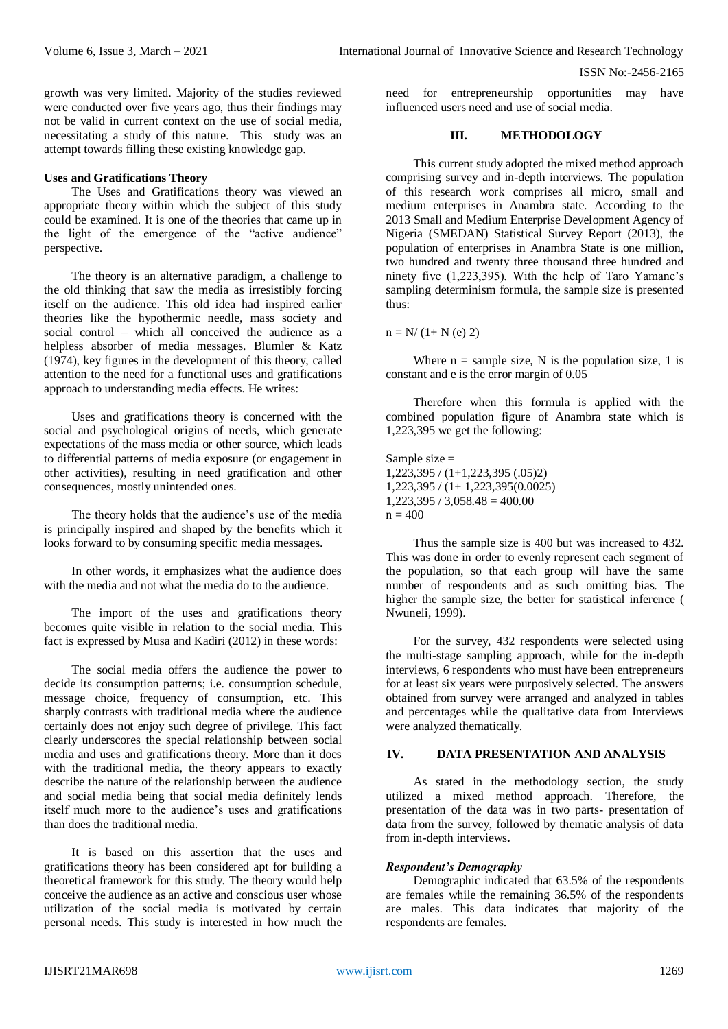growth was very limited. Majority of the studies reviewed were conducted over five years ago, thus their findings may not be valid in current context on the use of social media, necessitating a study of this nature. This study was an attempt towards filling these existing knowledge gap.

#### **Uses and Gratifications Theory**

The Uses and Gratifications theory was viewed an appropriate theory within which the subject of this study could be examined. It is one of the theories that came up in the light of the emergence of the "active audience" perspective.

The theory is an alternative paradigm, a challenge to the old thinking that saw the media as irresistibly forcing itself on the audience. This old idea had inspired earlier theories like the hypothermic needle, mass society and social control – which all conceived the audience as a helpless absorber of media messages. Blumler & Katz (1974), key figures in the development of this theory, called attention to the need for a functional uses and gratifications approach to understanding media effects. He writes:

Uses and gratifications theory is concerned with the social and psychological origins of needs, which generate expectations of the mass media or other source, which leads to differential patterns of media exposure (or engagement in other activities), resulting in need gratification and other consequences, mostly unintended ones.

The theory holds that the audience's use of the media is principally inspired and shaped by the benefits which it looks forward to by consuming specific media messages.

In other words, it emphasizes what the audience does with the media and not what the media do to the audience.

The import of the uses and gratifications theory becomes quite visible in relation to the social media. This fact is expressed by Musa and Kadiri (2012) in these words:

The social media offers the audience the power to decide its consumption patterns; i.e. consumption schedule, message choice, frequency of consumption, etc. This sharply contrasts with traditional media where the audience certainly does not enjoy such degree of privilege. This fact clearly underscores the special relationship between social media and uses and gratifications theory. More than it does with the traditional media, the theory appears to exactly describe the nature of the relationship between the audience and social media being that social media definitely lends itself much more to the audience's uses and gratifications than does the traditional media.

It is based on this assertion that the uses and gratifications theory has been considered apt for building a theoretical framework for this study. The theory would help conceive the audience as an active and conscious user whose utilization of the social media is motivated by certain personal needs. This study is interested in how much the

need for entrepreneurship opportunities may have influenced users need and use of social media.

#### **III. METHODOLOGY**

This current study adopted the mixed method approach comprising survey and in-depth interviews. The population of this research work comprises all micro, small and medium enterprises in Anambra state. According to the 2013 Small and Medium Enterprise Development Agency of Nigeria (SMEDAN) Statistical Survey Report (2013), the population of enterprises in Anambra State is one million, two hundred and twenty three thousand three hundred and ninety five (1,223,395). With the help of Taro Yamane's sampling determinism formula, the sample size is presented thus:

 $n = N/(1 + N(e) 2)$ 

Where  $n =$  sample size, N is the population size, 1 is constant and e is the error margin of 0.05

Therefore when this formula is applied with the combined population figure of Anambra state which is 1,223,395 we get the following:

Sample size  $=$ 1,223,395 / (1+1,223,395 (.05)2) 1,223,395 / (1+ 1,223,395(0.0025)  $1,223,395 / 3,058.48 = 400.00$  $n = 400$ 

Thus the sample size is 400 but was increased to 432. This was done in order to evenly represent each segment of the population, so that each group will have the same number of respondents and as such omitting bias. The higher the sample size, the better for statistical inference ( Nwuneli, 1999).

For the survey, 432 respondents were selected using the multi-stage sampling approach, while for the in-depth interviews, 6 respondents who must have been entrepreneurs for at least six years were purposively selected. The answers obtained from survey were arranged and analyzed in tables and percentages while the qualitative data from Interviews were analyzed thematically.

## **IV. DATA PRESENTATION AND ANALYSIS**

As stated in the methodology section, the study utilized a mixed method approach. Therefore, the presentation of the data was in two parts- presentation of data from the survey, followed by thematic analysis of data from in-depth interviews**.**

## *Respondent's Demography*

Demographic indicated that 63.5% of the respondents are females while the remaining 36.5% of the respondents are males. This data indicates that majority of the respondents are females.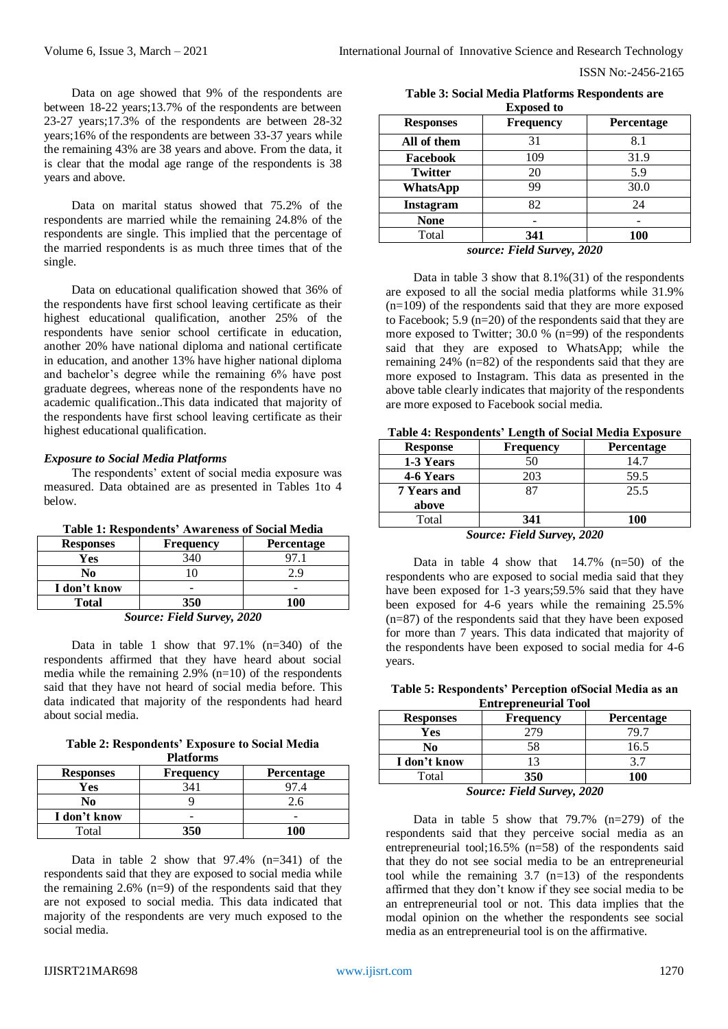Data on age showed that 9% of the respondents are between 18-22 years;13.7% of the respondents are between 23-27 years;17.3% of the respondents are between 28-32 years;16% of the respondents are between 33-37 years while the remaining 43% are 38 years and above. From the data, it is clear that the modal age range of the respondents is 38 years and above.

Data on marital status showed that 75.2% of the respondents are married while the remaining 24.8% of the respondents are single. This implied that the percentage of the married respondents is as much three times that of the single.

Data on educational qualification showed that 36% of the respondents have first school leaving certificate as their highest educational qualification, another 25% of the respondents have senior school certificate in education, another 20% have national diploma and national certificate in education, and another 13% have higher national diploma and bachelor's degree while the remaining 6% have post graduate degrees, whereas none of the respondents have no academic qualification..This data indicated that majority of the respondents have first school leaving certificate as their highest educational qualification.

#### *Exposure to Social Media Platforms*

The respondents' extent of social media exposure was measured. Data obtained are as presented in Tables 1to 4 below.

| Table 1: Respondents' Awareness of Social Media |  |  |
|-------------------------------------------------|--|--|
|-------------------------------------------------|--|--|

| <b>Responses</b>           | <b>Frequency</b> | <b>Percentage</b> |
|----------------------------|------------------|-------------------|
| Yes                        | 340              |                   |
| No                         |                  | 2. 9              |
| I don't know               |                  |                   |
| <b>Total</b>               | 350              | 100               |
| Source: Field Survey, 2020 |                  |                   |

Data in table 1 show that 97.1% (n=340) of the respondents affirmed that they have heard about social media while the remaining 2.9% (n=10) of the respondents said that they have not heard of social media before. This data indicated that majority of the respondents had heard about social media.

**Table 2: Respondents' Exposure to Social Media Platforms**

| гтаногніз        |                  |                   |
|------------------|------------------|-------------------|
| <b>Responses</b> | <b>Frequency</b> | <b>Percentage</b> |
| Yes              | 341              | 97.4              |
| No               |                  | 2.6               |
| I don't know     |                  |                   |
| Total            | 350              | 100               |

Data in table 2 show that 97.4% (n=341) of the respondents said that they are exposed to social media while the remaining  $2.6\%$  (n=9) of the respondents said that they are not exposed to social media. This data indicated that majority of the respondents are very much exposed to the social media.

**Table 3: Social Media Platforms Respondents are Exposed to**

| <b>Responses</b> | <b>Frequency</b> | Percentage |
|------------------|------------------|------------|
| All of them      | 31               | 8.1        |
| Facebook         | 109              | 31.9       |
| <b>Twitter</b>   | 20               | 5.9        |
| <b>WhatsApp</b>  | 99               | 30.0       |
| Instagram        | 82               | 24         |
| <b>None</b>      |                  |            |
| Total            | 341              | <b>100</b> |

*source: Field Survey, 2020*

Data in table 3 show that 8.1%(31) of the respondents are exposed to all the social media platforms while 31.9%  $(n=109)$  of the respondents said that they are more exposed to Facebook; 5.9  $(n=20)$  of the respondents said that they are more exposed to Twitter; 30.0 % (n=99) of the respondents said that they are exposed to WhatsApp; while the remaining 24% (n=82) of the respondents said that they are more exposed to Instagram. This data as presented in the above table clearly indicates that majority of the respondents are more exposed to Facebook social media.

**Table 4: Respondents' Length of Social Media Exposure**

| <b>Response</b>    | <b>Frequency</b> | Percentage           |
|--------------------|------------------|----------------------|
| 1-3 Years          | 50               | 14.7                 |
| 4-6 Years          | 203              | 59.5                 |
| <b>7 Years and</b> | 87               | 25.5                 |
| above              |                  |                      |
| Total              | 341              | 100                  |
| $\sim$             | --- - - -        | $\sim$ $\sim$ $\sim$ |

*Source: Field Survey, 2020*

Data in table 4 show that  $14.7\%$  (n=50) of the respondents who are exposed to social media said that they have been exposed for 1-3 years;59.5% said that they have been exposed for 4-6 years while the remaining 25.5% (n=87) of the respondents said that they have been exposed for more than 7 years. This data indicated that majority of the respondents have been exposed to social media for 4-6 years.

**Table 5: Respondents' Perception ofSocial Media as an Entrepreneurial Tool**

| <b>Responses</b>                                                           | <b>Frequency</b> | <b>Percentage</b> |
|----------------------------------------------------------------------------|------------------|-------------------|
| Yes                                                                        |                  | 79.7              |
| No                                                                         | 58               | 16.5              |
| I don't know                                                               |                  |                   |
| Total                                                                      | 350              | 100               |
| $C_{\text{average}}$ , $E_{\text{total}}^{*}$ $C_{\text{source}}$ , $2020$ |                  |                   |

*Source: Field Survey, 2020*

Data in table 5 show that 79.7% (n=279) of the respondents said that they perceive social media as an entrepreneurial tool;16.5% (n=58) of the respondents said that they do not see social media to be an entrepreneurial tool while the remaining  $3.7$  (n=13) of the respondents affirmed that they don't know if they see social media to be an entrepreneurial tool or not. This data implies that the modal opinion on the whether the respondents see social media as an entrepreneurial tool is on the affirmative.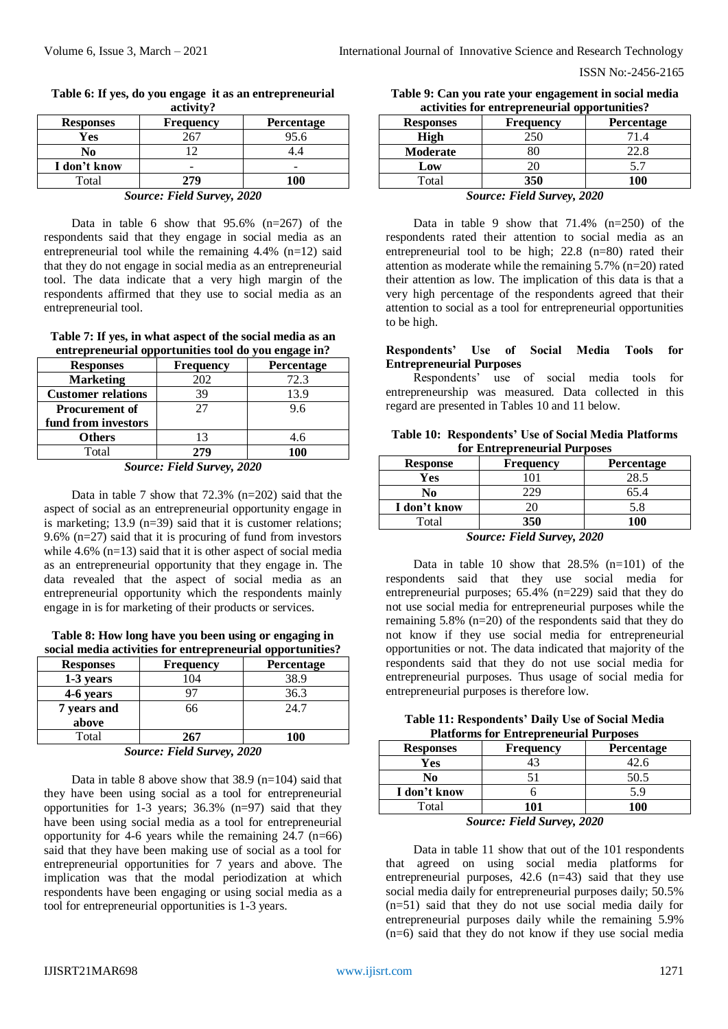| acuvicto         |                  |                   |
|------------------|------------------|-------------------|
| <b>Responses</b> | <b>Frequency</b> | <b>Percentage</b> |
| Yes              |                  | 95.6              |
| No               |                  |                   |
| I don't know     |                  | -                 |
| Total            | 279              | 100               |

#### **Table 6: If yes, do you engage it as an entrepreneurial activity?**

| <b>Source: Field Survey, 2020</b> |  |
|-----------------------------------|--|
|                                   |  |

Data in table 6 show that  $95.6\%$  (n=267) of the respondents said that they engage in social media as an entrepreneurial tool while the remaining  $4.4\%$  (n=12) said that they do not engage in social media as an entrepreneurial tool. The data indicate that a very high margin of the respondents affirmed that they use to social media as an entrepreneurial tool.

**Table 7: If yes, in what aspect of the social media as an entrepreneurial opportunities tool do you engage in?**

| <b>Frequency</b> | Percentage                                          |
|------------------|-----------------------------------------------------|
| 202              | 72.3                                                |
| 39               | 13.9                                                |
| 27               | 9.6                                                 |
|                  |                                                     |
| 13               | 4.6                                                 |
| 279              | 100                                                 |
|                  | $C_{\text{average}}$ $E:11C_{\text{source}}$ $2020$ |

*Source: Field Survey, 2020*

Data in table 7 show that 72.3% (n=202) said that the aspect of social as an entrepreneurial opportunity engage in is marketing; 13.9 (n=39) said that it is customer relations; 9.6% (n=27) said that it is procuring of fund from investors while 4.6% (n=13) said that it is other aspect of social media as an entrepreneurial opportunity that they engage in. The data revealed that the aspect of social media as an entrepreneurial opportunity which the respondents mainly engage in is for marketing of their products or services.

**Table 8: How long have you been using or engaging in social media activities for entrepreneurial opportunities?**

| <b>Responses</b> | <b>Frequency</b>           | Percentage |  |
|------------------|----------------------------|------------|--|
| 1-3 years        | 104                        | 38.9       |  |
| 4-6 years        |                            | 36.3       |  |
| 7 years and      | 66                         | 24.7       |  |
| above            |                            |            |  |
| Total            | 267                        | <b>100</b> |  |
|                  | Source: Field Survey, 2020 |            |  |

Data in table 8 above show that  $38.9$  (n=104) said that they have been using social as a tool for entrepreneurial opportunities for 1-3 years; 36.3% (n=97) said that they have been using social media as a tool for entrepreneurial opportunity for 4-6 years while the remaining  $24.7$  (n=66) said that they have been making use of social as a tool for entrepreneurial opportunities for 7 years and above. The implication was that the modal periodization at which respondents have been engaging or using social media as a tool for entrepreneurial opportunities is 1-3 years.

| Table 9: Can you rate your engagement in social media |  |
|-------------------------------------------------------|--|
| activities for entrepreneurial opportunities?         |  |

| <b>Responses</b>                                     | <b>Frequency</b> | <b>Percentage</b> |
|------------------------------------------------------|------------------|-------------------|
| <b>High</b>                                          | 250              | 71.4              |
| Moderate                                             |                  | 22.8              |
| Low                                                  | 20               |                   |
| Total                                                | 350              | 100               |
| $\alpha$ $\mathbf{r}$ $\mathbf{110}$ $\mathbf{2020}$ |                  |                   |

*Source: Field Survey, 2020*

Data in table 9 show that  $71.4\%$  (n=250) of the respondents rated their attention to social media as an entrepreneurial tool to be high; 22.8 (n=80) rated their attention as moderate while the remaining  $5.7\%$  (n=20) rated their attention as low. The implication of this data is that a very high percentage of the respondents agreed that their attention to social as a tool for entrepreneurial opportunities to be high.

#### **Respondents' Use of Social Media Tools for Entrepreneurial Purposes**

Respondents' use of social media tools for entrepreneurship was measured. Data collected in this regard are presented in Tables 10 and 11 below.

| Table 10: Respondents' Use of Social Media Platforms |
|------------------------------------------------------|
| for Entrepreneurial Purposes                         |

| <b>Response</b> | <b>Frequency</b> | <b>Percentage</b>    |
|-----------------|------------------|----------------------|
| Yes             |                  | 28.5                 |
| No              |                  | 65.4                 |
| I don't know    | 20               | 5.8                  |
| Total           | 350              | <b>100</b>           |
| $\sim$          | --- - - -        | $\sim$ $\sim$ $\sim$ |

*Source: Field Survey, 2020*

Data in table 10 show that 28.5% (n=101) of the respondents said that they use social media for entrepreneurial purposes; 65.4% (n=229) said that they do not use social media for entrepreneurial purposes while the remaining 5.8% (n=20) of the respondents said that they do not know if they use social media for entrepreneurial opportunities or not. The data indicated that majority of the respondents said that they do not use social media for entrepreneurial purposes. Thus usage of social media for entrepreneurial purposes is therefore low.

**Table 11: Respondents' Daily Use of Social Media Platforms for Entrepreneurial Purposes**

| <b>Responses</b> | <b>Frequency</b> | <b>Percentage</b>    |
|------------------|------------------|----------------------|
| Yes              |                  | 42.6                 |
| No               |                  | 50.5                 |
| I don't know     |                  | 5 Q                  |
| Total            | 101              | 100                  |
| $\sim$           | $\cdots$         | $\sim$ $\sim$ $\sim$ |

*Source: Field Survey, 2020*

Data in table 11 show that out of the 101 respondents that agreed on using social media platforms for entrepreneurial purposes, 42.6 (n=43) said that they use social media daily for entrepreneurial purposes daily; 50.5% (n=51) said that they do not use social media daily for entrepreneurial purposes daily while the remaining 5.9%  $(n=6)$  said that they do not know if they use social media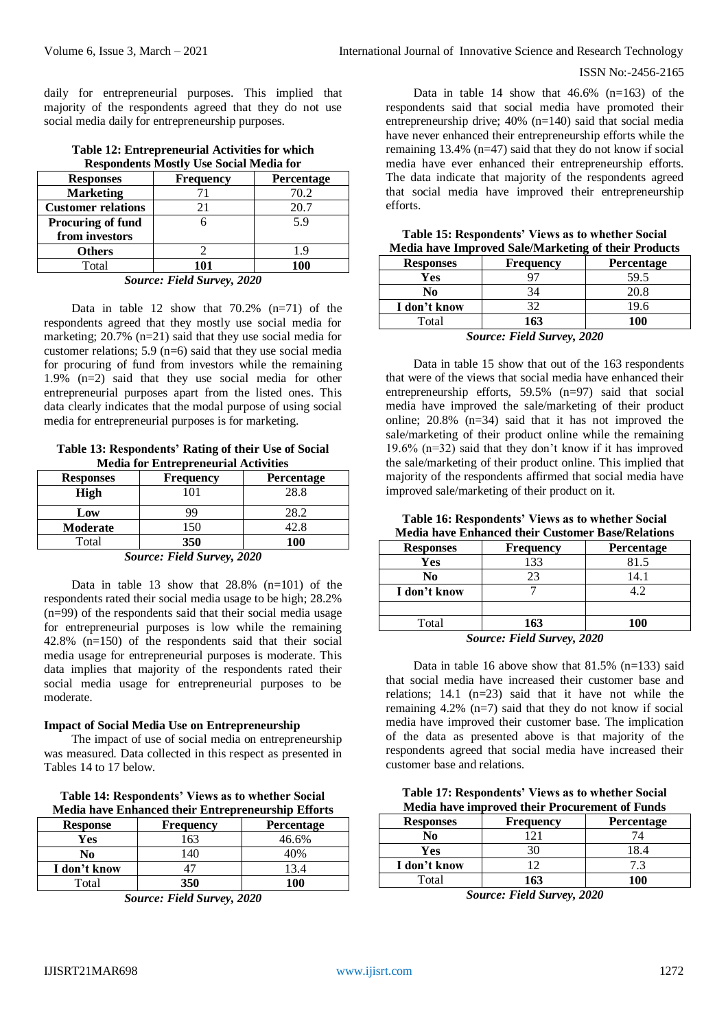daily for entrepreneurial purposes. This implied that majority of the respondents agreed that they do not use social media daily for entrepreneurship purposes.

| respondents mostly ose social media for                                                                                                                  |                  |            |
|----------------------------------------------------------------------------------------------------------------------------------------------------------|------------------|------------|
| <b>Responses</b>                                                                                                                                         | <b>Frequency</b> | Percentage |
| <b>Marketing</b>                                                                                                                                         |                  | 70.2       |
| <b>Customer relations</b>                                                                                                                                | 21               | 20.7       |
| Procuring of fund                                                                                                                                        |                  | 5.9        |
| from investors                                                                                                                                           |                  |            |
| <b>Others</b>                                                                                                                                            |                  | 1.9        |
| Total                                                                                                                                                    | 101              | <b>100</b> |
| $C_{\alpha\alpha\beta\gamma\delta\gamma\delta\gamma}$ $E_{\alpha}^{*}dJ_{\alpha}^{*}$ $C_{\alpha\gamma\delta\gamma\delta\gamma\delta\gamma\delta\gamma}$ |                  |            |

#### **Table 12: Entrepreneurial Activities for which Respondents Mostly Use Social Media for**

#### *Source: Field Survey, 2020*

Data in table 12 show that 70.2% (n=71) of the respondents agreed that they mostly use social media for marketing; 20.7% (n=21) said that they use social media for customer relations; 5.9 ( $n=6$ ) said that they use social media for procuring of fund from investors while the remaining 1.9% (n=2) said that they use social media for other entrepreneurial purposes apart from the listed ones. This data clearly indicates that the modal purpose of using social media for entrepreneurial purposes is for marketing.

**Table 13: Respondents' Rating of their Use of Social Media for Entrepreneurial Activities**

| <b>Responses</b>                                     | <b>Frequency</b> | <b>Percentage</b> |
|------------------------------------------------------|------------------|-------------------|
| <b>High</b>                                          |                  | 28.8              |
| Low                                                  | 99               | 28.2              |
| <b>Moderate</b>                                      | .50              | 42.8              |
| Total                                                | 350              | 100               |
| $\alpha$ $\mathbf{r}$ $\mathbf{r}$ $\alpha$ $\alpha$ |                  |                   |

*Source: Field Survey, 2020*

Data in table 13 show that 28.8% (n=101) of the respondents rated their social media usage to be high; 28.2% (n=99) of the respondents said that their social media usage for entrepreneurial purposes is low while the remaining 42.8% (n=150) of the respondents said that their social media usage for entrepreneurial purposes is moderate. This data implies that majority of the respondents rated their social media usage for entrepreneurial purposes to be moderate.

## **Impact of Social Media Use on Entrepreneurship**

The impact of use of social media on entrepreneurship was measured. Data collected in this respect as presented in Tables 14 to 17 below.

## **Table 14: Respondents' Views as to whether Social Media have Enhanced their Entrepreneurship Efforts**

| <b>Response</b> | Frequency | <b>Percentage</b> |
|-----------------|-----------|-------------------|
| Yes             | 163       | 46.6%             |
| No              | 140       | 40%               |
| I don't know    |           |                   |
| Total           | 350       | 100               |

*Source: Field Survey, 2020*

Data in table 14 show that  $46.6\%$  (n=163) of the respondents said that social media have promoted their entrepreneurship drive; 40% (n=140) said that social media have never enhanced their entrepreneurship efforts while the remaining 13.4% (n=47) said that they do not know if social media have ever enhanced their entrepreneurship efforts. The data indicate that majority of the respondents agreed that social media have improved their entrepreneurship efforts.

| <u>Media nave improved sale/Marketing of their Products</u> |                  |                      |
|-------------------------------------------------------------|------------------|----------------------|
| <b>Responses</b>                                            | <b>Frequency</b> | Percentage           |
| Yes                                                         | 97               | 59.5                 |
| No                                                          | 34               | 20.8                 |
| I don't know                                                | 32               | 19.6                 |
| Total                                                       | 163              | 100                  |
| $\tilde{\phantom{a}}$                                       | --- - - -        | $\sim$ $\sim$ $\sim$ |

**Table 15: Respondents' Views as to whether Social Media have Improved Sale/Marketing of their Products**

*Source: Field Survey, 2020*

Data in table 15 show that out of the 163 respondents that were of the views that social media have enhanced their entrepreneurship efforts, 59.5% (n=97) said that social media have improved the sale/marketing of their product online; 20.8% (n=34) said that it has not improved the sale/marketing of their product online while the remaining 19.6%  $(n=32)$  said that they don't know if it has improved the sale/marketing of their product online. This implied that majority of the respondents affirmed that social media have improved sale/marketing of their product on it.

**Table 16: Respondents' Views as to whether Social Media have Enhanced their Customer Base/Relations**

| <b>Responses</b> | <b>Frequency</b> | Percentage |
|------------------|------------------|------------|
| Yes              | 133              | 81.5       |
| No               | 23               | 14.1       |
| I don't know     |                  | 12         |
|                  |                  |            |
| Total            | 163              | 100        |

*Source: Field Survey, 2020*

Data in table 16 above show that  $81.5\%$  (n=133) said that social media have increased their customer base and relations; 14.1 (n=23) said that it have not while the remaining  $4.2\%$  (n=7) said that they do not know if social media have improved their customer base. The implication of the data as presented above is that majority of the respondents agreed that social media have increased their customer base and relations.

**Table 17: Respondents' Views as to whether Social Media have improved their Procurement of Funds**

| <b>Responses</b> | <b>Frequency</b> | <b>Percentage</b> |
|------------------|------------------|-------------------|
| No               | ⌒                |                   |
| Yes              |                  | 8.4               |
| I don't know     |                  |                   |
| Total            | 163              | 100               |

*Source: Field Survey, 2020*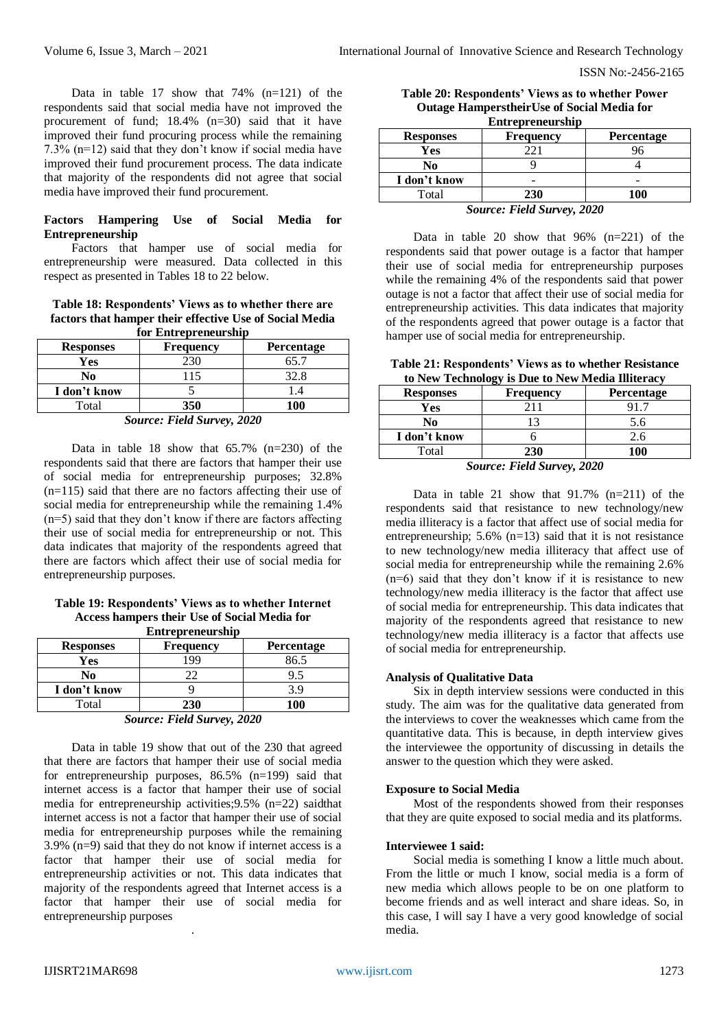Data in table 17 show that 74% (n=121) of the respondents said that social media have not improved the procurement of fund; 18.4% (n=30) said that it have improved their fund procuring process while the remaining 7.3% (n=12) said that they don't know if social media have improved their fund procurement process. The data indicate that majority of the respondents did not agree that social media have improved their fund procurement.

#### **Factors Hampering Use of Social Media for Entrepreneurship**

Factors that hamper use of social media for entrepreneurship were measured. Data collected in this respect as presented in Tables 18 to 22 below.

**Table 18: Respondents' Views as to whether there are factors that hamper their effective Use of Social Media for Entrepreneurship** 

| TVL EMAL UP URU SMP                                                 |                  |                   |
|---------------------------------------------------------------------|------------------|-------------------|
| <b>Responses</b>                                                    | <b>Frequency</b> | <b>Percentage</b> |
| Yes                                                                 | 230              | 65.1              |
| No                                                                  | 15               | 32.8              |
| I don't know                                                        |                  |                   |
| Total                                                               | 350              | 100               |
| $\tilde{\phantom{a}}$<br>--- - - -<br>$\bullet$ $\bullet$ $\bullet$ |                  |                   |

*Source: Field Survey, 2020*

Data in table 18 show that  $65.7\%$   $(n=230)$  of the respondents said that there are factors that hamper their use of social media for entrepreneurship purposes; 32.8%  $(n=115)$  said that there are no factors affecting their use of social media for entrepreneurship while the remaining 1.4% (n=5) said that they don't know if there are factors affecting their use of social media for entrepreneurship or not. This data indicates that majority of the respondents agreed that there are factors which affect their use of social media for entrepreneurship purposes.

**Table 19: Respondents' Views as to whether Internet Access hampers their Use of Social Media for Entrepreneurship**

| <b>Responses</b> | <b>Frequency</b> | <b>Percentage</b> |
|------------------|------------------|-------------------|
| Yes              | 199              | 86.5              |
| No               |                  |                   |
| I don't know     |                  |                   |
| Total            | <b>230</b>       | 100               |
| ---<br>.         |                  |                   |

|  | Source: Field Survey, 2020 |
|--|----------------------------|
|--|----------------------------|

Data in table 19 show that out of the 230 that agreed that there are factors that hamper their use of social media for entrepreneurship purposes, 86.5% (n=199) said that internet access is a factor that hamper their use of social media for entrepreneurship activities;9.5% (n=22) saidthat internet access is not a factor that hamper their use of social media for entrepreneurship purposes while the remaining 3.9% (n=9) said that they do not know if internet access is a factor that hamper their use of social media for entrepreneurship activities or not. This data indicates that majority of the respondents agreed that Internet access is a factor that hamper their use of social media for entrepreneurship purposes

.

| Table 20: Respondents' Views as to whether Power   |  |  |  |
|----------------------------------------------------|--|--|--|
| <b>Outage Hamperstheir Use of Social Media for</b> |  |  |  |
| <b>Entrepreneurship</b>                            |  |  |  |

| <b>Responses</b>       | <b>Frequency</b> | Percentage |  |
|------------------------|------------------|------------|--|
| Yes                    |                  |            |  |
| No                     |                  |            |  |
| I don't know           |                  |            |  |
| Total                  | <b>230</b>       | 100        |  |
| -<br>______<br>- - - - |                  |            |  |

*Source: Field Survey, 2020*

Data in table 20 show that 96% (n=221) of the respondents said that power outage is a factor that hamper their use of social media for entrepreneurship purposes while the remaining 4% of the respondents said that power outage is not a factor that affect their use of social media for entrepreneurship activities. This data indicates that majority of the respondents agreed that power outage is a factor that hamper use of social media for entrepreneurship.

**Table 21: Respondents' Views as to whether Resistance to New Technology is Due to New Media Illiteracy**

| <br>$10 - 10$ and $10 - 10$ it is the vertex famous well.        |                  |                   |  |
|------------------------------------------------------------------|------------------|-------------------|--|
| <b>Responses</b>                                                 | <b>Frequency</b> | <b>Percentage</b> |  |
| Yes                                                              |                  |                   |  |
| No                                                               |                  | 5.6               |  |
| I don't know                                                     |                  | 2.6               |  |
| Total                                                            | 230              | 100               |  |
| $C_1, \ldots, C_n, C_1, C_2, \ldots, C_n, C_1, C_2, \ldots, C_n$ |                  |                   |  |

*Source: Field Survey, 2020*

Data in table 21 show that 91.7% (n=211) of the respondents said that resistance to new technology/new media illiteracy is a factor that affect use of social media for entrepreneurship;  $5.6\%$  (n=13) said that it is not resistance to new technology/new media illiteracy that affect use of social media for entrepreneurship while the remaining 2.6% (n=6) said that they don't know if it is resistance to new technology/new media illiteracy is the factor that affect use of social media for entrepreneurship. This data indicates that majority of the respondents agreed that resistance to new technology/new media illiteracy is a factor that affects use of social media for entrepreneurship.

#### **Analysis of Qualitative Data**

Six in depth interview sessions were conducted in this study. The aim was for the qualitative data generated from the interviews to cover the weaknesses which came from the quantitative data. This is because, in depth interview gives the interviewee the opportunity of discussing in details the answer to the question which they were asked.

#### **Exposure to Social Media**

Most of the respondents showed from their responses that they are quite exposed to social media and its platforms.

#### **Interviewee 1 said:**

Social media is something I know a little much about. From the little or much I know, social media is a form of new media which allows people to be on one platform to become friends and as well interact and share ideas. So, in this case, I will say I have a very good knowledge of social media.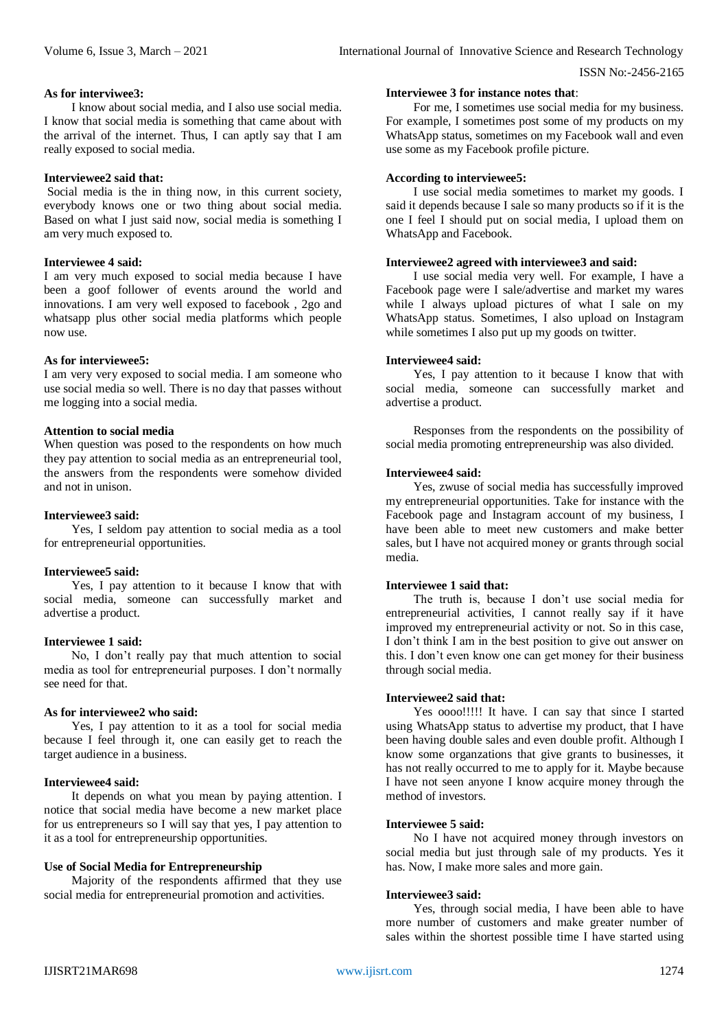#### **As for interviwee3:**

I know about social media, and I also use social media. I know that social media is something that came about with the arrival of the internet. Thus, I can aptly say that I am really exposed to social media.

#### **Interviewee2 said that:**

Social media is the in thing now, in this current society, everybody knows one or two thing about social media. Based on what I just said now, social media is something I am very much exposed to.

#### **Interviewee 4 said:**

I am very much exposed to social media because I have been a goof follower of events around the world and innovations. I am very well exposed to facebook , 2go and whatsapp plus other social media platforms which people now use.

#### **As for interviewee5:**

I am very very exposed to social media. I am someone who use social media so well. There is no day that passes without me logging into a social media.

#### **Attention to social media**

When question was posed to the respondents on how much they pay attention to social media as an entrepreneurial tool, the answers from the respondents were somehow divided and not in unison.

#### **Interviewee3 said:**

Yes, I seldom pay attention to social media as a tool for entrepreneurial opportunities.

#### **Interviewee5 said:**

Yes, I pay attention to it because I know that with social media, someone can successfully market and advertise a product.

#### **Interviewee 1 said:**

No, I don't really pay that much attention to social media as tool for entrepreneurial purposes. I don't normally see need for that.

#### **As for interviewee2 who said:**

Yes, I pay attention to it as a tool for social media because I feel through it, one can easily get to reach the target audience in a business.

## **Interviewee4 said:**

It depends on what you mean by paying attention. I notice that social media have become a new market place for us entrepreneurs so I will say that yes, I pay attention to it as a tool for entrepreneurship opportunities.

## **Use of Social Media for Entrepreneurship**

Majority of the respondents affirmed that they use social media for entrepreneurial promotion and activities.

#### **Interviewee 3 for instance notes that**:

For me, I sometimes use social media for my business. For example, I sometimes post some of my products on my WhatsApp status, sometimes on my Facebook wall and even use some as my Facebook profile picture.

#### **According to interviewee5:**

I use social media sometimes to market my goods. I said it depends because I sale so many products so if it is the one I feel I should put on social media, I upload them on WhatsApp and Facebook.

#### **Interviewee2 agreed with interviewee3 and said:**

I use social media very well. For example, I have a Facebook page were I sale/advertise and market my wares while I always upload pictures of what I sale on my WhatsApp status. Sometimes, I also upload on Instagram while sometimes I also put up my goods on twitter.

#### **Interviewee4 said:**

Yes, I pay attention to it because I know that with social media, someone can successfully market and advertise a product.

Responses from the respondents on the possibility of social media promoting entrepreneurship was also divided.

#### **Interviewee4 said:**

Yes, zwuse of social media has successfully improved my entrepreneurial opportunities. Take for instance with the Facebook page and Instagram account of my business, I have been able to meet new customers and make better sales, but I have not acquired money or grants through social media.

### **Interviewee 1 said that:**

The truth is, because I don't use social media for entrepreneurial activities, I cannot really say if it have improved my entrepreneurial activity or not. So in this case, I don't think I am in the best position to give out answer on this. I don't even know one can get money for their business through social media.

## **Interviewee2 said that:**

Yes oooo!!!!! It have. I can say that since I started using WhatsApp status to advertise my product, that I have been having double sales and even double profit. Although I know some organzations that give grants to businesses, it has not really occurred to me to apply for it. Maybe because I have not seen anyone I know acquire money through the method of investors.

#### **Interviewee 5 said:**

No I have not acquired money through investors on social media but just through sale of my products. Yes it has. Now, I make more sales and more gain.

#### **Interviewee3 said:**

Yes, through social media, I have been able to have more number of customers and make greater number of sales within the shortest possible time I have started using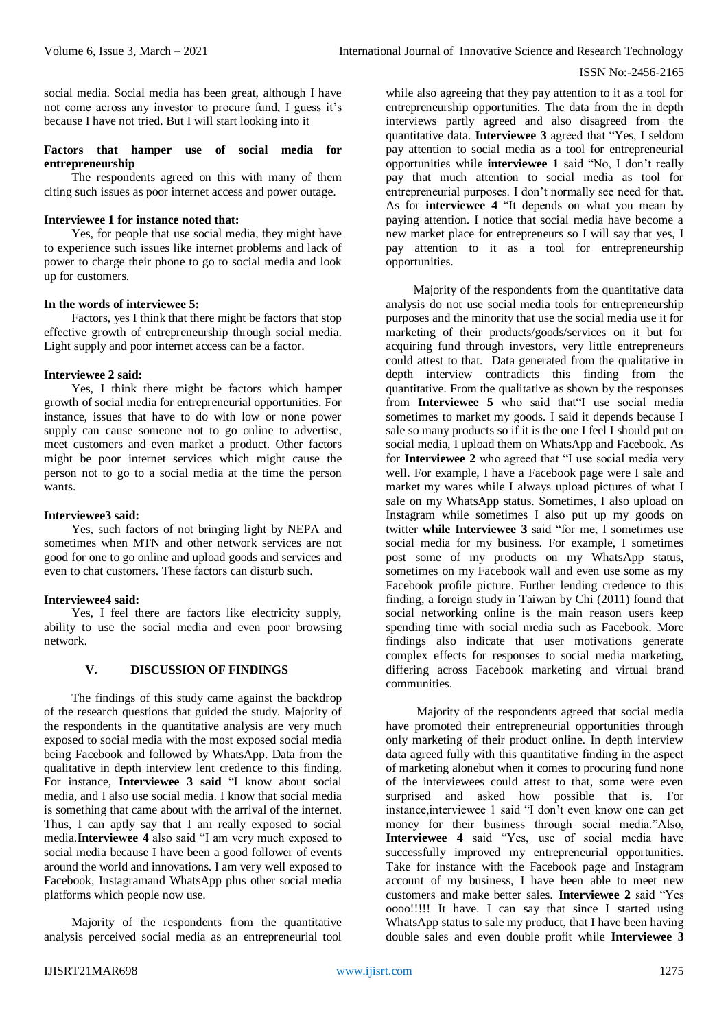social media. Social media has been great, although I have not come across any investor to procure fund, I guess it's because I have not tried. But I will start looking into it

#### **Factors that hamper use of social media for entrepreneurship**

The respondents agreed on this with many of them citing such issues as poor internet access and power outage.

### **Interviewee 1 for instance noted that:**

Yes, for people that use social media, they might have to experience such issues like internet problems and lack of power to charge their phone to go to social media and look up for customers.

#### **In the words of interviewee 5:**

Factors, yes I think that there might be factors that stop effective growth of entrepreneurship through social media. Light supply and poor internet access can be a factor.

## **Interviewee 2 said:**

Yes, I think there might be factors which hamper growth of social media for entrepreneurial opportunities. For instance, issues that have to do with low or none power supply can cause someone not to go online to advertise, meet customers and even market a product. Other factors might be poor internet services which might cause the person not to go to a social media at the time the person wants.

#### **Interviewee3 said:**

Yes, such factors of not bringing light by NEPA and sometimes when MTN and other network services are not good for one to go online and upload goods and services and even to chat customers. These factors can disturb such.

## **Interviewee4 said:**

Yes, I feel there are factors like electricity supply, ability to use the social media and even poor browsing network.

## **V. DISCUSSION OF FINDINGS**

The findings of this study came against the backdrop of the research questions that guided the study. Majority of the respondents in the quantitative analysis are very much exposed to social media with the most exposed social media being Facebook and followed by WhatsApp. Data from the qualitative in depth interview lent credence to this finding. For instance, **Interviewee 3 said** "I know about social media, and I also use social media. I know that social media is something that came about with the arrival of the internet. Thus, I can aptly say that I am really exposed to social media.**Interviewee 4** also said "I am very much exposed to social media because I have been a good follower of events around the world and innovations. I am very well exposed to Facebook, Instagramand WhatsApp plus other social media platforms which people now use.

Majority of the respondents from the quantitative analysis perceived social media as an entrepreneurial tool

while also agreeing that they pay attention to it as a tool for entrepreneurship opportunities. The data from the in depth interviews partly agreed and also disagreed from the quantitative data. **Interviewee 3** agreed that "Yes, I seldom pay attention to social media as a tool for entrepreneurial opportunities while **interviewee 1** said "No, I don't really pay that much attention to social media as tool for entrepreneurial purposes. I don't normally see need for that. As for **interviewee 4** "It depends on what you mean by paying attention. I notice that social media have become a new market place for entrepreneurs so I will say that yes, I pay attention to it as a tool for entrepreneurship opportunities.

Majority of the respondents from the quantitative data analysis do not use social media tools for entrepreneurship purposes and the minority that use the social media use it for marketing of their products/goods/services on it but for acquiring fund through investors, very little entrepreneurs could attest to that. Data generated from the qualitative in depth interview contradicts this finding from the quantitative. From the qualitative as shown by the responses from **Interviewee 5** who said that"I use social media sometimes to market my goods. I said it depends because I sale so many products so if it is the one I feel I should put on social media, I upload them on WhatsApp and Facebook. As for **Interviewee 2** who agreed that "I use social media very well. For example, I have a Facebook page were I sale and market my wares while I always upload pictures of what I sale on my WhatsApp status. Sometimes, I also upload on Instagram while sometimes I also put up my goods on twitter **while Interviewee 3** said "for me, I sometimes use social media for my business. For example, I sometimes post some of my products on my WhatsApp status, sometimes on my Facebook wall and even use some as my Facebook profile picture. Further lending credence to this finding, a foreign study in Taiwan by Chi (2011) found that social networking online is the main reason users keep spending time with social media such as Facebook. More findings also indicate that user motivations generate complex effects for responses to social media marketing, differing across Facebook marketing and virtual brand communities.

Majority of the respondents agreed that social media have promoted their entrepreneurial opportunities through only marketing of their product online. In depth interview data agreed fully with this quantitative finding in the aspect of marketing alonebut when it comes to procuring fund none of the interviewees could attest to that, some were even surprised and asked how possible that is. For instance,interviewee 1 said "I don't even know one can get money for their business through social media."Also, **Interviewee 4** said "Yes, use of social media have successfully improved my entrepreneurial opportunities. Take for instance with the Facebook page and Instagram account of my business, I have been able to meet new customers and make better sales. **Interviewee 2** said "Yes oooo!!!!! It have. I can say that since I started using WhatsApp status to sale my product, that I have been having double sales and even double profit while **Interviewee 3**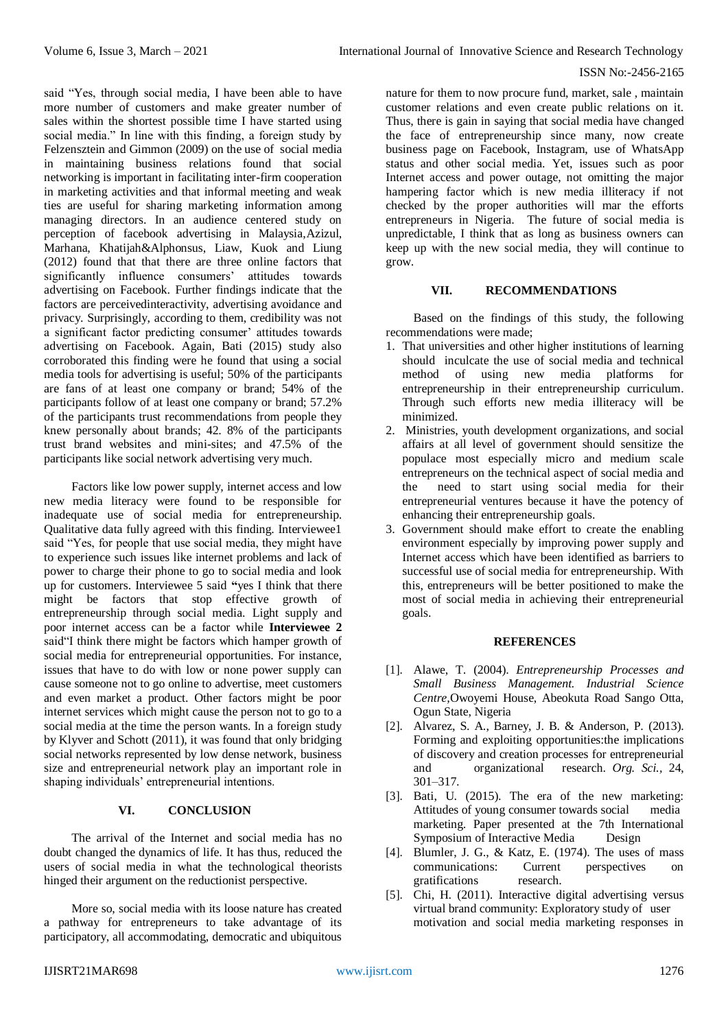said "Yes, through social media, I have been able to have more number of customers and make greater number of sales within the shortest possible time I have started using social media." In line with this finding, a foreign study by Felzensztein and Gimmon (2009) on the use of social media in maintaining business relations found that social networking is important in facilitating inter-firm cooperation in marketing activities and that informal meeting and weak ties are useful for sharing marketing information among managing directors. In an audience centered study on perception of facebook advertising in Malaysia,Azizul, Marhana, Khatijah&Alphonsus, Liaw, Kuok and Liung (2012) found that that there are three online factors that significantly influence consumers' attitudes towards advertising on Facebook. Further findings indicate that the factors are perceivedinteractivity, advertising avoidance and privacy. Surprisingly, according to them, credibility was not a significant factor predicting consumer' attitudes towards advertising on Facebook. Again, Bati (2015) study also corroborated this finding were he found that using a social media tools for advertising is useful; 50% of the participants are fans of at least one company or brand; 54% of the participants follow of at least one company or brand; 57.2% of the participants trust recommendations from people they knew personally about brands; 42. 8% of the participants trust brand websites and mini-sites; and 47.5% of the participants like social network advertising very much.

Factors like low power supply, internet access and low new media literacy were found to be responsible for inadequate use of social media for entrepreneurship. Qualitative data fully agreed with this finding. Interviewee1 said "Yes, for people that use social media, they might have to experience such issues like internet problems and lack of power to charge their phone to go to social media and look up for customers. Interviewee 5 said **"**yes I think that there might be factors that stop effective growth of entrepreneurship through social media. Light supply and poor internet access can be a factor while **Interviewee 2**  said"I think there might be factors which hamper growth of social media for entrepreneurial opportunities. For instance, issues that have to do with low or none power supply can cause someone not to go online to advertise, meet customers and even market a product. Other factors might be poor internet services which might cause the person not to go to a social media at the time the person wants. In a foreign study by Klyver and Schott (2011), it was found that only bridging social networks represented by low dense network, business size and entrepreneurial network play an important role in shaping individuals' entrepreneurial intentions.

## **VI. CONCLUSION**

The arrival of the Internet and social media has no doubt changed the dynamics of life. It has thus, reduced the users of social media in what the technological theorists hinged their argument on the reductionist perspective.

More so, social media with its loose nature has created a pathway for entrepreneurs to take advantage of its participatory, all accommodating, democratic and ubiquitous

nature for them to now procure fund, market, sale , maintain customer relations and even create public relations on it. Thus, there is gain in saying that social media have changed the face of entrepreneurship since many, now create business page on Facebook, Instagram, use of WhatsApp status and other social media. Yet, issues such as poor Internet access and power outage, not omitting the major hampering factor which is new media illiteracy if not checked by the proper authorities will mar the efforts entrepreneurs in Nigeria. The future of social media is unpredictable, I think that as long as business owners can keep up with the new social media, they will continue to grow.

## **VII. RECOMMENDATIONS**

Based on the findings of this study, the following recommendations were made;

- 1. That universities and other higher institutions of learning should inculcate the use of social media and technical method of using new media platforms for entrepreneurship in their entrepreneurship curriculum. Through such efforts new media illiteracy will be minimized.
- 2. Ministries, youth development organizations, and social affairs at all level of government should sensitize the populace most especially micro and medium scale entrepreneurs on the technical aspect of social media and the need to start using social media for their entrepreneurial ventures because it have the potency of enhancing their entrepreneurship goals.
- 3. Government should make effort to create the enabling environment especially by improving power supply and Internet access which have been identified as barriers to successful use of social media for entrepreneurship. With this, entrepreneurs will be better positioned to make the most of social media in achieving their entrepreneurial goals.

#### **REFERENCES**

- [1]. Alawe, T. (2004). *Entrepreneurship Processes and Small Business Management. Industrial Science Centre,*Owoyemi House, Abeokuta Road Sango Otta, Ogun State, Nigeria
- [2]. Alvarez, S. A., Barney, J. B. & Anderson, P. (2013). Forming and exploiting opportunities:the implications of discovery and creation processes for entrepreneurial and organizational research. *Org. Sci.,* 24, 301–317.
- [3]. Bati, U. (2015). The era of the new marketing: Attitudes of young consumer towards social media marketing. Paper presented at the 7th International Symposium of Interactive Media Design
- [4]. Blumler, J. G., & Katz, E. (1974). The uses of mass communications: Current perspectives on gratifications research.
- [5]. Chi, H. (2011). Interactive digital advertising versus virtual brand community: Exploratory study of user motivation and social media marketing responses in